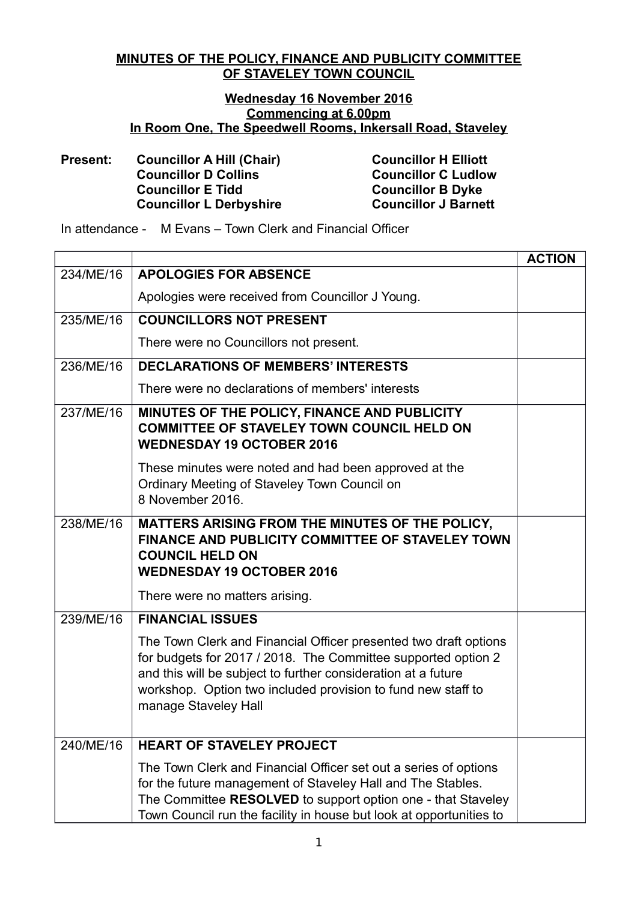## **MINUTES OF THE POLICY, FINANCE AND PUBLICITY COMMITTEE OF STAVELEY TOWN COUNCIL**

## **Wednesday 16 November 2016 Commencing at 6.00pm In Room One, The Speedwell Rooms, Inkersall Road, Staveley**

**Present: Councillor A Hill (Chair) Councillor H Elliott Councillor D Collins Councillor C Ludlow Councillor E Tidd Councillor B Dyke Councillor L Derbyshire** 

In attendance - M Evans – Town Clerk and Financial Officer

|           |                                                                                                                                                                                                                                                                                            | <b>ACTION</b> |
|-----------|--------------------------------------------------------------------------------------------------------------------------------------------------------------------------------------------------------------------------------------------------------------------------------------------|---------------|
| 234/ME/16 | <b>APOLOGIES FOR ABSENCE</b>                                                                                                                                                                                                                                                               |               |
|           | Apologies were received from Councillor J Young.                                                                                                                                                                                                                                           |               |
| 235/ME/16 | <b>COUNCILLORS NOT PRESENT</b>                                                                                                                                                                                                                                                             |               |
|           | There were no Councillors not present.                                                                                                                                                                                                                                                     |               |
| 236/ME/16 | <b>DECLARATIONS OF MEMBERS' INTERESTS</b>                                                                                                                                                                                                                                                  |               |
|           | There were no declarations of members' interests                                                                                                                                                                                                                                           |               |
| 237/ME/16 | MINUTES OF THE POLICY, FINANCE AND PUBLICITY<br><b>COMMITTEE OF STAVELEY TOWN COUNCIL HELD ON</b><br><b>WEDNESDAY 19 OCTOBER 2016</b>                                                                                                                                                      |               |
|           | These minutes were noted and had been approved at the<br>Ordinary Meeting of Staveley Town Council on<br>8 November 2016.                                                                                                                                                                  |               |
| 238/ME/16 | MATTERS ARISING FROM THE MINUTES OF THE POLICY,<br>FINANCE AND PUBLICITY COMMITTEE OF STAVELEY TOWN<br><b>COUNCIL HELD ON</b><br><b>WEDNESDAY 19 OCTOBER 2016</b>                                                                                                                          |               |
|           | There were no matters arising.                                                                                                                                                                                                                                                             |               |
| 239/ME/16 | <b>FINANCIAL ISSUES</b>                                                                                                                                                                                                                                                                    |               |
|           | The Town Clerk and Financial Officer presented two draft options<br>for budgets for 2017 / 2018. The Committee supported option 2<br>and this will be subject to further consideration at a future<br>workshop. Option two included provision to fund new staff to<br>manage Staveley Hall |               |
| 240/ME/16 | <b>HEART OF STAVELEY PROJECT</b>                                                                                                                                                                                                                                                           |               |
|           | The Town Clerk and Financial Officer set out a series of options<br>for the future management of Staveley Hall and The Stables.<br>The Committee RESOLVED to support option one - that Staveley<br>Town Council run the facility in house but look at opportunities to                     |               |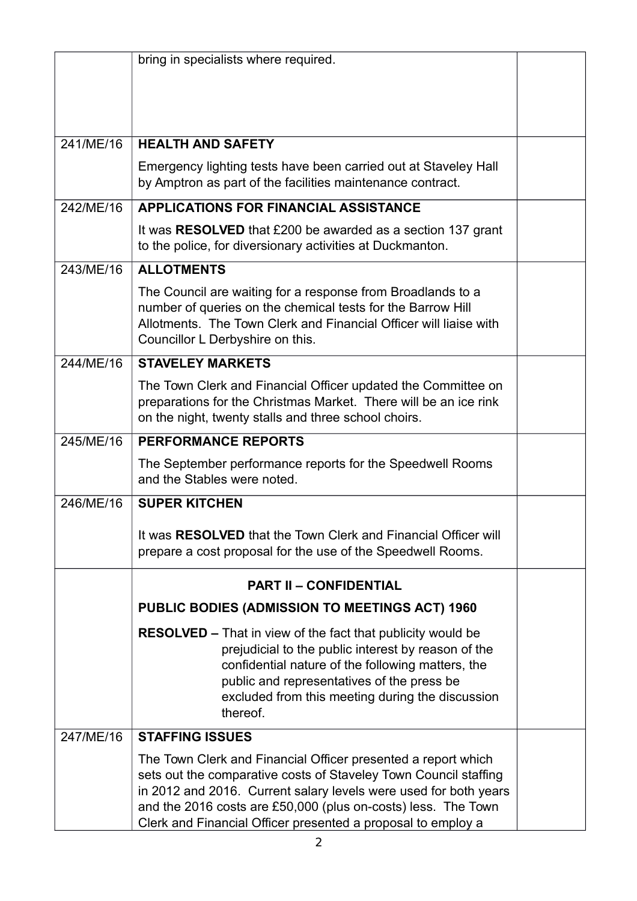|           | bring in specialists where required.                                                                                                                                                                                                                                                                                                   |  |
|-----------|----------------------------------------------------------------------------------------------------------------------------------------------------------------------------------------------------------------------------------------------------------------------------------------------------------------------------------------|--|
| 241/ME/16 | <b>HEALTH AND SAFETY</b>                                                                                                                                                                                                                                                                                                               |  |
|           | Emergency lighting tests have been carried out at Staveley Hall<br>by Amptron as part of the facilities maintenance contract.                                                                                                                                                                                                          |  |
| 242/ME/16 | <b>APPLICATIONS FOR FINANCIAL ASSISTANCE</b>                                                                                                                                                                                                                                                                                           |  |
|           | It was <b>RESOLVED</b> that £200 be awarded as a section 137 grant<br>to the police, for diversionary activities at Duckmanton.                                                                                                                                                                                                        |  |
| 243/ME/16 | <b>ALLOTMENTS</b>                                                                                                                                                                                                                                                                                                                      |  |
|           | The Council are waiting for a response from Broadlands to a<br>number of queries on the chemical tests for the Barrow Hill<br>Allotments. The Town Clerk and Financial Officer will liaise with<br>Councillor L Derbyshire on this.                                                                                                    |  |
| 244/ME/16 | <b>STAVELEY MARKETS</b>                                                                                                                                                                                                                                                                                                                |  |
|           | The Town Clerk and Financial Officer updated the Committee on<br>preparations for the Christmas Market. There will be an ice rink<br>on the night, twenty stalls and three school choirs.                                                                                                                                              |  |
| 245/ME/16 | <b>PERFORMANCE REPORTS</b>                                                                                                                                                                                                                                                                                                             |  |
|           | The September performance reports for the Speedwell Rooms<br>and the Stables were noted.                                                                                                                                                                                                                                               |  |
| 246/ME/16 | <b>SUPER KITCHEN</b>                                                                                                                                                                                                                                                                                                                   |  |
|           | It was RESOLVED that the Town Clerk and Financial Officer will<br>prepare a cost proposal for the use of the Speedwell Rooms.                                                                                                                                                                                                          |  |
|           | <b>PART II - CONFIDENTIAL</b>                                                                                                                                                                                                                                                                                                          |  |
|           | PUBLIC BODIES (ADMISSION TO MEETINGS ACT) 1960                                                                                                                                                                                                                                                                                         |  |
|           | <b>RESOLVED – That in view of the fact that publicity would be</b><br>prejudicial to the public interest by reason of the<br>confidential nature of the following matters, the<br>public and representatives of the press be<br>excluded from this meeting during the discussion<br>thereof.                                           |  |
| 247/ME/16 | <b>STAFFING ISSUES</b>                                                                                                                                                                                                                                                                                                                 |  |
|           | The Town Clerk and Financial Officer presented a report which<br>sets out the comparative costs of Staveley Town Council staffing<br>in 2012 and 2016. Current salary levels were used for both years<br>and the 2016 costs are £50,000 (plus on-costs) less. The Town<br>Clerk and Financial Officer presented a proposal to employ a |  |